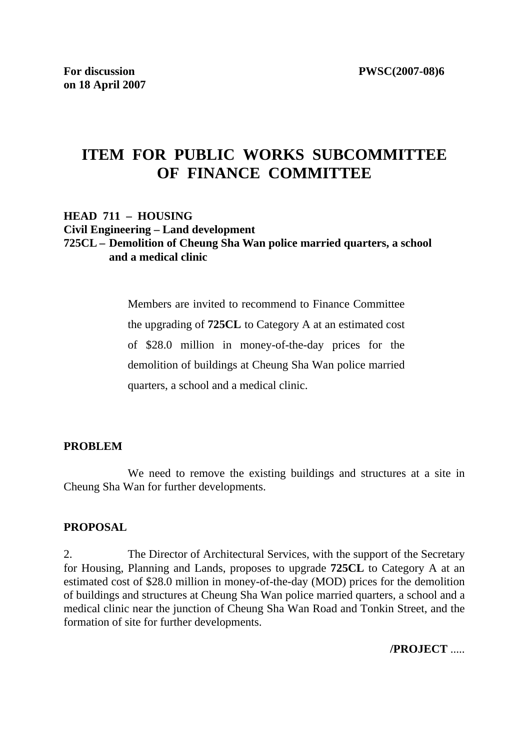# **ITEM FOR PUBLIC WORKS SUBCOMMITTEE OF FINANCE COMMITTEE**

#### **HEAD 711 – HOUSING Civil Engineering – Land development 725CL – Demolition of Cheung Sha Wan police married quarters, a school and a medical clinic**

Members are invited to recommend to Finance Committee the upgrading of **725CL** to Category A at an estimated cost of \$28.0 million in money-of-the-day prices for the demolition of buildings at Cheung Sha Wan police married quarters, a school and a medical clinic.

### **PROBLEM**

We need to remove the existing buildings and structures at a site in Cheung Sha Wan for further developments.

#### **PROPOSAL**

2. The Director of Architectural Services, with the support of the Secretary for Housing, Planning and Lands, proposes to upgrade **725CL** to Category A at an estimated cost of \$28.0 million in money-of-the-day (MOD) prices for the demolition of buildings and structures at Cheung Sha Wan police married quarters, a school and a medical clinic near the junction of Cheung Sha Wan Road and Tonkin Street, and the formation of site for further developments.

**/PROJECT** .....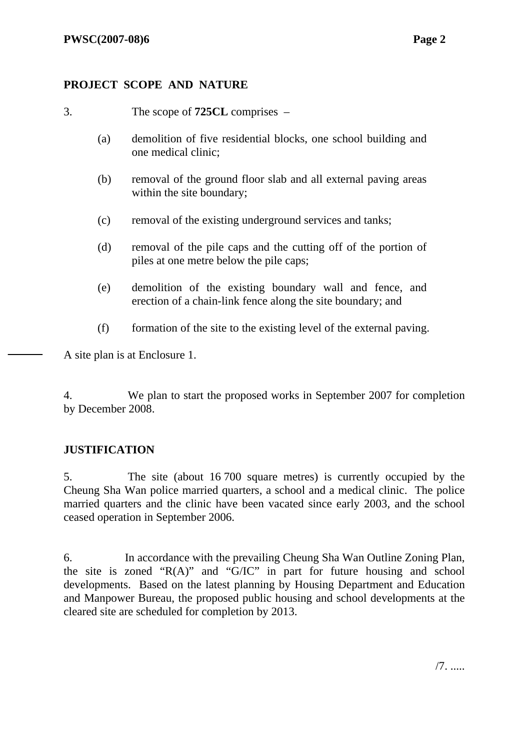## **PROJECT SCOPE AND NATURE**

- 3. The scope of **725CL** comprises
	- (a) demolition of five residential blocks, one school building and one medical clinic;
	- (b) removal of the ground floor slab and all external paving areas within the site boundary;
	- (c) removal of the existing underground services and tanks;
	- (d) removal of the pile caps and the cutting off of the portion of piles at one metre below the pile caps;
	- (e) demolition of the existing boundary wall and fence, and erection of a chain-link fence along the site boundary; and
	- (f) formation of the site to the existing level of the external paving.

A site plan is at Enclosure 1.

4. We plan to start the proposed works in September 2007 for completion by December 2008.

### **JUSTIFICATION**

5. The site (about 16 700 square metres) is currently occupied by the Cheung Sha Wan police married quarters, a school and a medical clinic. The police married quarters and the clinic have been vacated since early 2003, and the school ceased operation in September 2006.

6. In accordance with the prevailing Cheung Sha Wan Outline Zoning Plan, the site is zoned "R(A)" and "G/IC" in part for future housing and school developments. Based on the latest planning by Housing Department and Education and Manpower Bureau, the proposed public housing and school developments at the cleared site are scheduled for completion by 2013.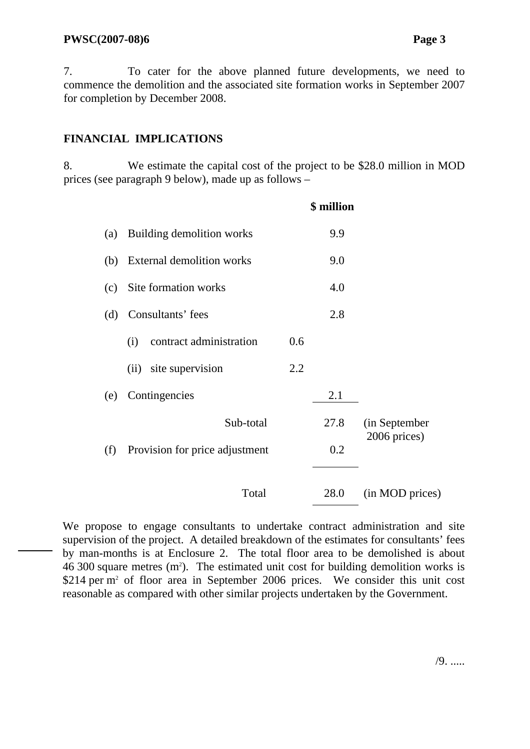#### **PWSC(2007-08)6 Page 3**

7. To cater for the above planned future developments, we need to commence the demolition and the associated site formation works in September 2007 for completion by December 2008.

### **FINANCIAL IMPLICATIONS**

8. We estimate the capital cost of the project to be \$28.0 million in MOD prices (see paragraph 9 below), made up as follows –

|     |                                  |     | \$ million |                 |  |
|-----|----------------------------------|-----|------------|-----------------|--|
| (a) | Building demolition works        |     | 9.9        |                 |  |
| (b) | <b>External demolition works</b> |     | 9.0        |                 |  |
| (c) | Site formation works             |     | 4.0        |                 |  |
| (d) | Consultants' fees                |     | 2.8        |                 |  |
|     | contract administration<br>(i)   | 0.6 |            |                 |  |
|     | site supervision<br>(ii)         | 2.2 |            |                 |  |
| (e) | Contingencies                    |     | 2.1        |                 |  |
|     | Sub-total                        |     | 27.8       | (in September   |  |
| (f) | Provision for price adjustment   |     | 0.2        | 2006 prices)    |  |
|     |                                  |     |            |                 |  |
|     | Total                            |     | 28.0       | (in MOD prices) |  |

We propose to engage consultants to undertake contract administration and site supervision of the project. A detailed breakdown of the estimates for consultants' fees by man-months is at Enclosure 2. The total floor area to be demolished is about  $46,300$  square metres  $(m^2)$ . The estimated unit cost for building demolition works is \$214 per m<sup>2</sup> of floor area in September 2006 prices. We consider this unit cost reasonable as compared with other similar projects undertaken by the Government.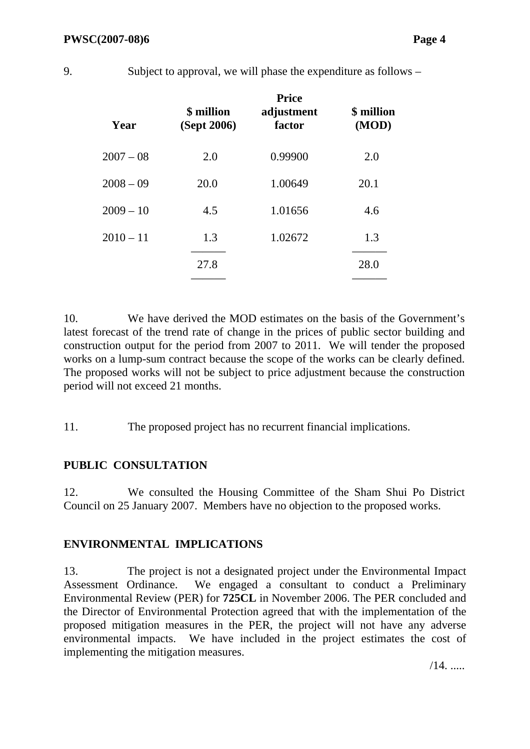**Year \$ million (Sept 2006) Price adjustment factor \$ million (MOD)** 2007 – 08 2.0 0.99900 2.0 2008 – 09 20.0 1.00649 20.1  $2009 - 10$  4.5 1.01656 4.6 2010 – 11 1.3 1.02672 1.3 ——— ——— 27.8 28.0 ——— ———

10. We have derived the MOD estimates on the basis of the Government's latest forecast of the trend rate of change in the prices of public sector building and construction output for the period from 2007 to 2011. We will tender the proposed works on a lump-sum contract because the scope of the works can be clearly defined. The proposed works will not be subject to price adjustment because the construction period will not exceed 21 months.

11. The proposed project has no recurrent financial implications.

# **PUBLIC CONSULTATION**

12. We consulted the Housing Committee of the Sham Shui Po District Council on 25 January 2007. Members have no objection to the proposed works.

# **ENVIRONMENTAL IMPLICATIONS**

13. The project is not a designated project under the Environmental Impact Assessment Ordinance. We engaged a consultant to conduct a Preliminary Environmental Review (PER) for **725CL** in November 2006. The PER concluded and the Director of Environmental Protection agreed that with the implementation of the proposed mitigation measures in the PER, the project will not have any adverse environmental impacts. We have included in the project estimates the cost of implementing the mitigation measures.

 $/14$ . .....

9. Subject to approval, we will phase the expenditure as follows –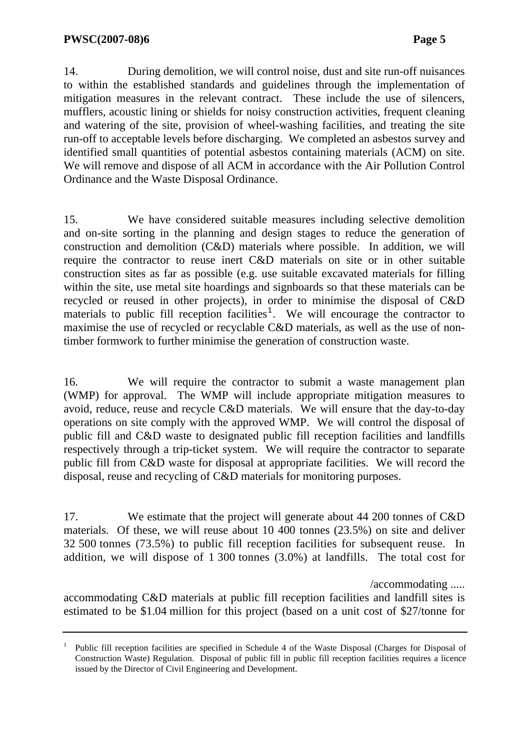14. During demolition, we will control noise, dust and site run-off nuisances to within the established standards and guidelines through the implementation of mitigation measures in the relevant contract. These include the use of silencers, mufflers, acoustic lining or shields for noisy construction activities, frequent cleaning and watering of the site, provision of wheel-washing facilities, and treating the site run-off to acceptable levels before discharging. We completed an asbestos survey and identified small quantities of potential asbestos containing materials (ACM) on site. We will remove and dispose of all ACM in accordance with the Air Pollution Control Ordinance and the Waste Disposal Ordinance.

15. We have considered suitable measures including selective demolition and on-site sorting in the planning and design stages to reduce the generation of construction and demolition (C&D) materials where possible. In addition, we will require the contractor to reuse inert C&D materials on site or in other suitable construction sites as far as possible (e.g. use suitable excavated materials for filling within the site, use metal site hoardings and signboards so that these materials can be recycled or reused in other projects), in order to minimise the disposal of C&D materials to public fill reception facilities<sup>1</sup>. We will encourage the contractor to maximise the use of recycled or recyclable C&D materials, as well as the use of nontimber formwork to further minimise the generation of construction waste.

16. We will require the contractor to submit a waste management plan (WMP) for approval. The WMP will include appropriate mitigation measures to avoid, reduce, reuse and recycle C&D materials. We will ensure that the day-to-day operations on site comply with the approved WMP. We will control the disposal of public fill and C&D waste to designated public fill reception facilities and landfills respectively through a trip-ticket system. We will require the contractor to separate public fill from C&D waste for disposal at appropriate facilities. We will record the disposal, reuse and recycling of C&D materials for monitoring purposes.

17. We estimate that the project will generate about 44 200 tonnes of C&D materials. Of these, we will reuse about 10 400 tonnes (23.5%) on site and deliver 32 500 tonnes (73.5%) to public fill reception facilities for subsequent reuse. In addition, we will dispose of 1 300 tonnes (3.0%) at landfills. The total cost for

/accommodating .....

accommodating C&D materials at public fill reception facilities and landfill sites is estimated to be \$1.04 million for this project (based on a unit cost of \$27/tonne for

<sup>1</sup> Public fill reception facilities are specified in Schedule 4 of the Waste Disposal (Charges for Disposal of Construction Waste) Regulation. Disposal of public fill in public fill reception facilities requires a licence issued by the Director of Civil Engineering and Development.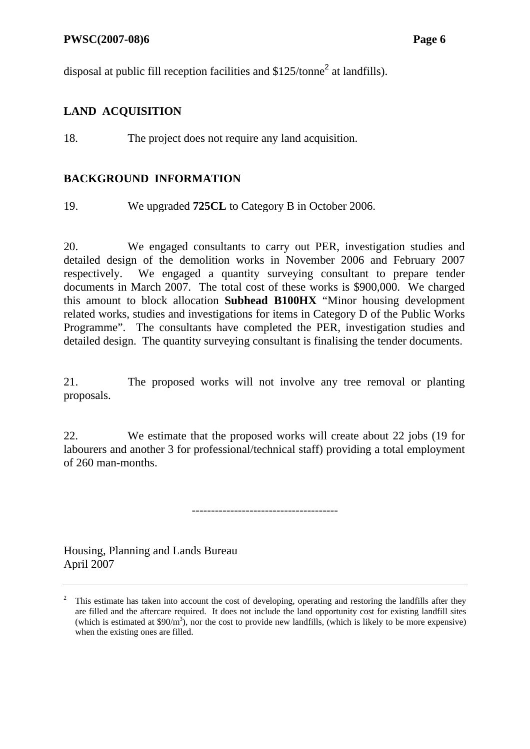#### **PWSC(2007-08)6** Page 6

disposal at public fill reception facilities and  $$125/tonne<sup>2</sup>$  at landfills).

# **LAND ACQUISITION**

18. The project does not require any land acquisition.

## **BACKGROUND INFORMATION**

19. We upgraded **725CL** to Category B in October 2006.

20. We engaged consultants to carry out PER, investigation studies and detailed design of the demolition works in November 2006 and February 2007 respectively. We engaged a quantity surveying consultant to prepare tender documents in March 2007. The total cost of these works is \$900,000. We charged this amount to block allocation **Subhead B100HX** "Minor housing development related works, studies and investigations for items in Category D of the Public Works Programme". The consultants have completed the PER, investigation studies and detailed design. The quantity surveying consultant is finalising the tender documents.

21. The proposed works will not involve any tree removal or planting proposals.

22. We estimate that the proposed works will create about 22 jobs (19 for labourers and another 3 for professional/technical staff) providing a total employment of 260 man-months.

--------------------------------------

Housing, Planning and Lands Bureau April 2007

<sup>2</sup> This estimate has taken into account the cost of developing, operating and restoring the landfills after they are filled and the aftercare required. It does not include the land opportunity cost for existing landfill sites (which is estimated at  $$90/m^3$ ), nor the cost to provide new landfills, (which is likely to be more expensive) when the existing ones are filled.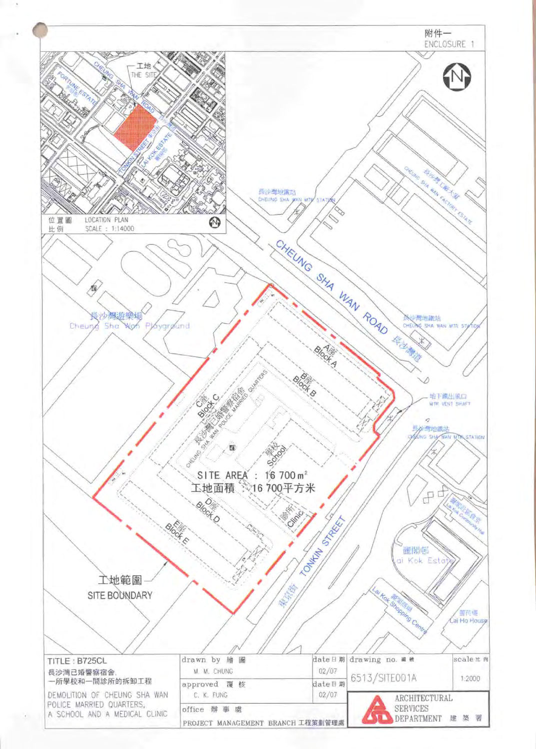